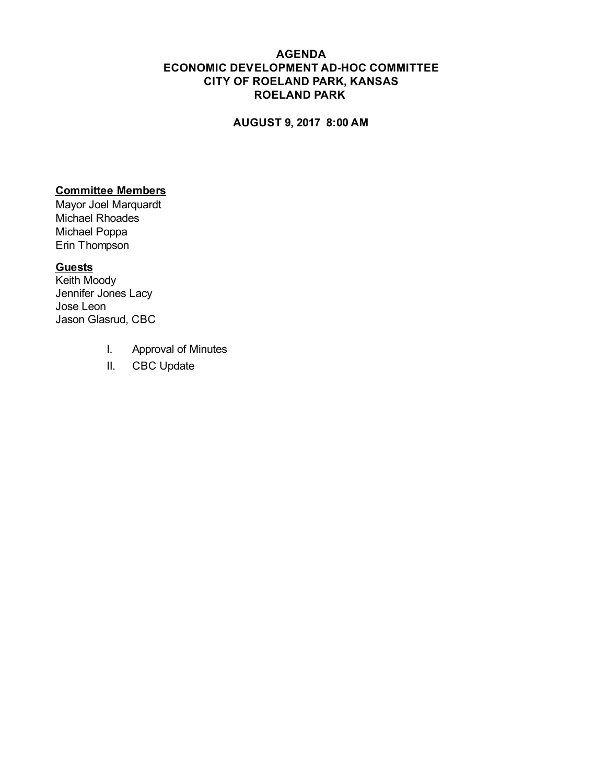## **AGENDA ECONOMIC DEVELOPMENT AD-HOC COMMITTEE CITY OF ROELAND PARK, KANSAS ROELAND PARK**

## **AUGUST 9, 2017 8:00 AM**

## **Committee Members**

Mayor Joel Marquardt Michael Rhoades Michael Poppa Erin Thompson

## **Guests**

Keith Moody Jennifer Jones Lacy Jose Leon Jason Glasrud, CBC

- I. Approval of Minutes
- II. CBC Update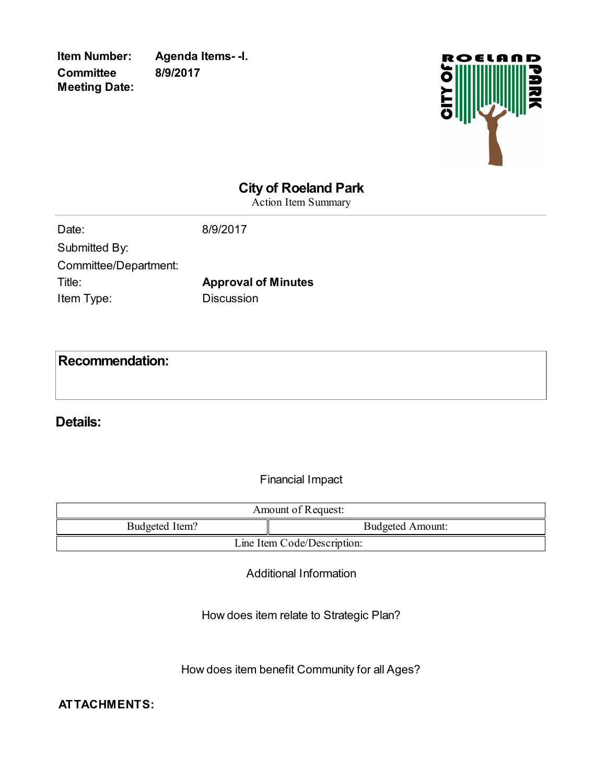**Committee Meeting Date:**

**Item Number: Agenda Items- -I. 8/9/2017**



# **City of Roeland Park**

Action Item Summary

| Date:                 | 8/9/2017                   |
|-----------------------|----------------------------|
| Submitted By:         |                            |
| Committee/Department: |                            |
| Title:                | <b>Approval of Minutes</b> |
| Item Type:            | <b>Discussion</b>          |
|                       |                            |

**Recommendation:**

**Details:**

Financial Impact

| Amount of Request:          |                         |  |
|-----------------------------|-------------------------|--|
| Budgeted Item?              | <b>Budgeted Amount:</b> |  |
| Line Item Code/Description: |                         |  |

Additional Information

How does item relate to Strategic Plan?

How does item benefit Community for all Ages?

**ATTACHMENTS:**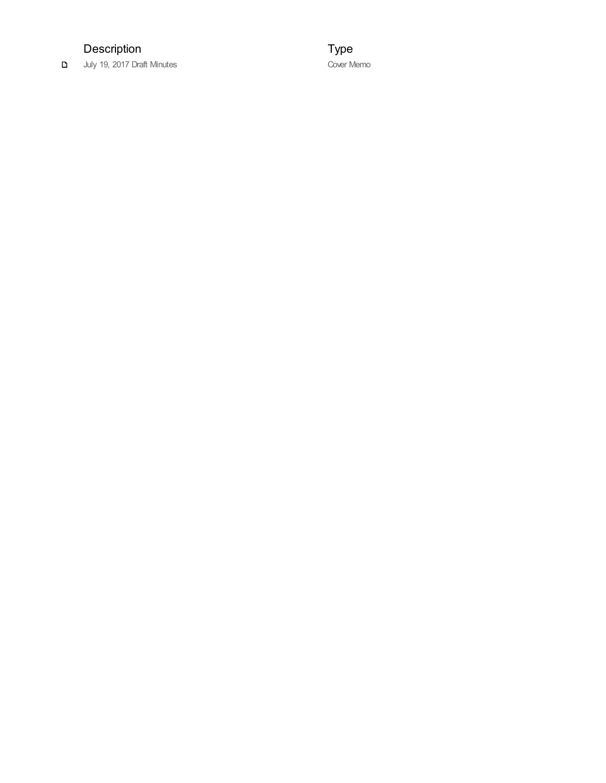# Description

July 19, 2017 Draft Minutes

Type Cover Memo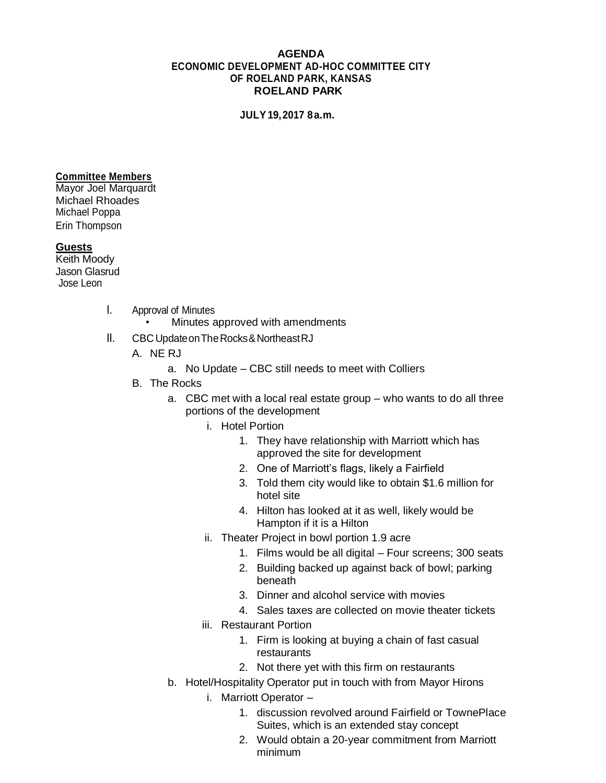### **AGENDA ECONOMIC DEVELOPMENT AD-HOC COMMITTEE CITY OF ROELAND PARK, KANSAS ROELAND PARK**

**JULY19,2017 8a.m.**

#### **Committee Members**

Mayor Joel Marquardt Michael Rhoades Michael Poppa Erin Thompson

### **Guests**

Keith Moody Jason Glasrud Jose Leon

- I. Approval of Minutes
	- Minutes approved with amendments
- II. CBC UpdateonTheRocks&NortheastRJ
	- A. NE RJ
		- a. No Update CBC still needs to meet with Colliers
	- B. The Rocks
		- a. CBC met with a local real estate group who wants to do all three portions of the development
			- i. Hotel Portion
				- 1. They have relationship with Marriott which has approved the site for development
				- 2. One of Marriott's flags, likely a Fairfield
				- 3. Told them city would like to obtain \$1.6 million for hotel site
				- 4. Hilton has looked at it as well, likely would be Hampton if it is a Hilton
			- ii. Theater Project in bowl portion 1.9 acre
				- 1. Films would be all digital Four screens; 300 seats
				- 2. Building backed up against back of bowl; parking beneath
				- 3. Dinner and alcohol service with movies
				- 4. Sales taxes are collected on movie theater tickets
			- iii. Restaurant Portion
				- 1. Firm is looking at buying a chain of fast casual restaurants
				- 2. Not there yet with this firm on restaurants
		- b. Hotel/Hospitality Operator put in touch with from Mayor Hirons
			- i. Marriott Operator
				- 1. discussion revolved around Fairfield or TownePlace Suites, which is an extended stay concept
				- 2. Would obtain a 20-year commitment from Marriott minimum